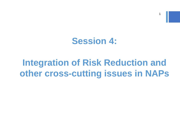#### **Session 4:**

### **Integration of Risk Reduction and other cross-cutting issues in NAPs**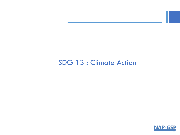#### SDG 13 : Climate Action

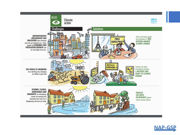

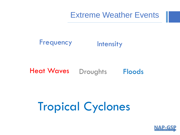Extreme Weather Events

#### Frequency Intensity

#### Heat Waves Droughts Floods

# Tropical Cyclones

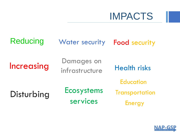

Reducing Water security Food security Increasing Damages on infrastructure Health risks Disturbing Ecosystems services **Education Transportation** Energy

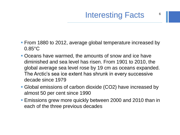- From 1880 to 2012, average global temperature increased by 0.85°C
- **Oceans have warmed, the amounts of snow and ice have** diminished and sea level has risen. From 1901 to 2010, the global average sea level rose by 19 cm as oceans expanded. The Arctic's sea ice extent has shrunk in every successive decade since 1979
- Global emissions of carbon dioxide (CO2) have increased by almost 50 per cent since 1990
- **Emissions grew more quickly between 2000 and 2010 than in** each of the three previous decades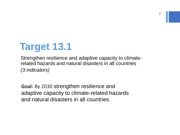## **Target 13.1**

Strengthen resilience and adaptive capacity to climaterelated hazards and natural disasters in all countries *(3 indicators)*

**Goal:** By 2030 strengthen resilience and adaptive capacity to climate-related hazards and natural disasters in all countries.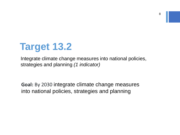

Integrate climate change measures into national policies, strategies and planning *(1 indicator)*

**Goal:** By 2030 integrate climate change measures into national policies, strategies and planning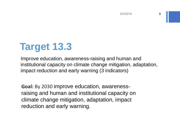## **Target 13.3**

Improve education, awareness-raising and human and institutional capacity on climate change mitigation, adaptation, impact reduction and early warning (3 indicators)

**Goal:** By 2030 improve education, awarenessraising and human and institutional capacity on climate change mitigation, adaptation, impact reduction and early warning.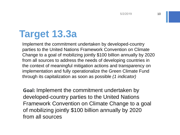## **Target 13.3a**

Implement the commitment undertaken by developed-country parties to the United Nations Framework Convention on Climate Change to a goal of mobilizing jointly \$100 billion annually by 2020 from all sources to address the needs of developing countries in the context of meaningful mitigation actions and transparency on implementation and fully operationalize the Green Climate Fund through its capitalization as soon as possible *(1 indicator)*

**Goal:** Implement the commitment undertaken by developed-country parties to the United Nations Framework Convention on Climate Change to a goal of mobilizing jointly \$100 billion annually by 2020 from all sources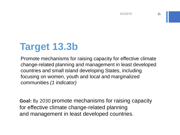## **Target 13.3b**

Promote mechanisms for raising capacity for effective climate change-related planning and management in least developed countries and small island developing States, including focusing on women, youth and local and marginalized communities *(1 indicator)*

**Goal:** By 2030 promote mechanisms for raising capacity for effective climate change-related planning and management in least developed countries.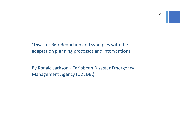"Disaster Risk Reduction and synergies with the adaptation planning processes and interventions"

By Ronald Jackson - Caribbean Disaster Emergency Management Agency (CDEMA).